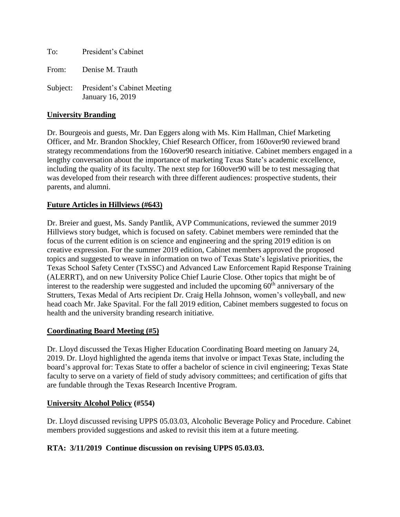To: President's Cabinet From: Denise M. Trauth Subject: President's Cabinet Meeting January 16, 2019

#### **University Branding**

Dr. Bourgeois and guests, Mr. Dan Eggers along with Ms. Kim Hallman, Chief Marketing Officer, and Mr. Brandon Shockley, Chief Research Officer, from 160over90 reviewed brand strategy recommendations from the 160over90 research initiative. Cabinet members engaged in a lengthy conversation about the importance of marketing Texas State's academic excellence, including the quality of its faculty. The next step for 160over90 will be to test messaging that was developed from their research with three different audiences: prospective students, their parents, and alumni.

#### **Future Articles in Hillviews (#643)**

Dr. Breier and guest, Ms. Sandy Pantlik, AVP Communications, reviewed the summer 2019 Hillviews story budget, which is focused on safety. Cabinet members were reminded that the focus of the current edition is on science and engineering and the spring 2019 edition is on creative expression. For the summer 2019 edition, Cabinet members approved the proposed topics and suggested to weave in information on two of Texas State's legislative priorities, the Texas School Safety Center (TxSSC) and Advanced Law Enforcement Rapid Response Training (ALERRT), and on new University Police Chief Laurie Close. Other topics that might be of interest to the readership were suggested and included the upcoming  $60<sup>th</sup>$  anniversary of the Strutters, Texas Medal of Arts recipient Dr. Craig Hella Johnson, women's volleyball, and new head coach Mr. Jake Spavital. For the fall 2019 edition, Cabinet members suggested to focus on health and the university branding research initiative.

### **Coordinating Board Meeting (#5)**

Dr. Lloyd discussed the Texas Higher Education Coordinating Board meeting on January 24, 2019. Dr. Lloyd highlighted the agenda items that involve or impact Texas State, including the board's approval for: Texas State to offer a bachelor of science in civil engineering; Texas State faculty to serve on a variety of field of study advisory committees; and certification of gifts that are fundable through the Texas Research Incentive Program.

#### **University Alcohol Policy (#554)**

Dr. Lloyd discussed revising UPPS 05.03.03, Alcoholic Beverage Policy and Procedure. Cabinet members provided suggestions and asked to revisit this item at a future meeting.

### **RTA: 3/11/2019 Continue discussion on revising UPPS 05.03.03.**